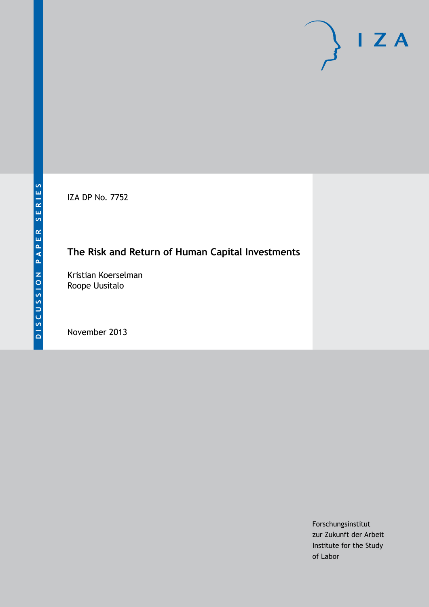IZA DP No. 7752

# **The Risk and Return of Human Capital Investments**

Kristian Koerselman Roope Uusitalo

November 2013

Forschungsinstitut zur Zukunft der Arbeit Institute for the Study of Labor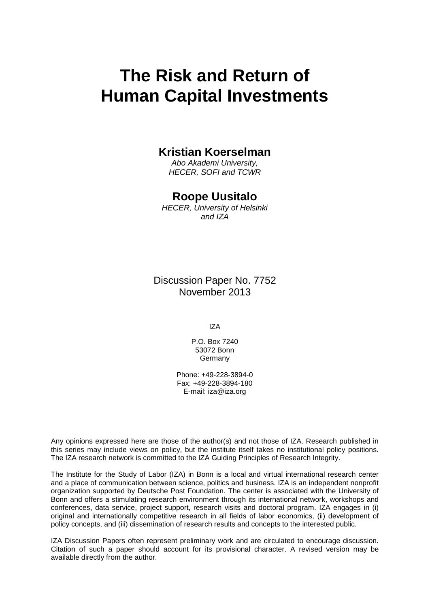# **The Risk and Return of Human Capital Investments**

#### **Kristian Koerselman**

*Abo Akademi University, HECER, SOFI and TCWR*

#### **Roope Uusitalo**

*HECER, University of Helsinki and IZA*

Discussion Paper No. 7752 November 2013

IZA

P.O. Box 7240 53072 Bonn **Germany** 

Phone: +49-228-3894-0 Fax: +49-228-3894-180 E-mail: [iza@iza.org](mailto:iza@iza.org)

Any opinions expressed here are those of the author(s) and not those of IZA. Research published in this series may include views on policy, but the institute itself takes no institutional policy positions. The IZA research network is committed to the IZA Guiding Principles of Research Integrity.

The Institute for the Study of Labor (IZA) in Bonn is a local and virtual international research center and a place of communication between science, politics and business. IZA is an independent nonprofit organization supported by Deutsche Post Foundation. The center is associated with the University of Bonn and offers a stimulating research environment through its international network, workshops and conferences, data service, project support, research visits and doctoral program. IZA engages in (i) original and internationally competitive research in all fields of labor economics, (ii) development of policy concepts, and (iii) dissemination of research results and concepts to the interested public.

<span id="page-1-0"></span>IZA Discussion Papers often represent preliminary work and are circulated to encourage discussion. Citation of such a paper should account for its provisional character. A revised version may be available directly from the author.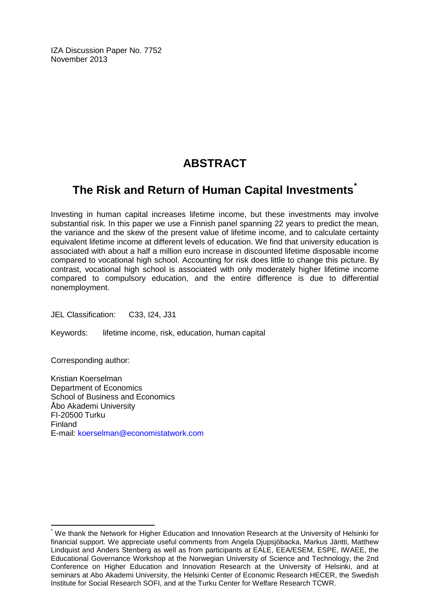IZA Discussion Paper No. 7752 November 2013

# **ABSTRACT**

## **The Risk and Return of Human Capital Investments[\\*](#page-1-0)**

Investing in human capital increases lifetime income, but these investments may involve substantial risk. In this paper we use a Finnish panel spanning 22 years to predict the mean, the variance and the skew of the present value of lifetime income, and to calculate certainty equivalent lifetime income at different levels of education. We find that university education is associated with about a half a million euro increase in discounted lifetime disposable income compared to vocational high school. Accounting for risk does little to change this picture. By contrast, vocational high school is associated with only moderately higher lifetime income compared to compulsory education, and the entire difference is due to differential nonemployment.

JEL Classification: C33, I24, J31

Keywords: lifetime income, risk, education, human capital

Corresponding author:

Kristian Koerselman Department of Economics School of Business and Economics Åbo Akademi University FI-20500 Turku Finland E-mail: [koerselman@economistatwork.com](mailto:koerselman@economistatwork.com)

We thank the Network for Higher Education and Innovation Research at the University of Helsinki for financial support. We appreciate useful comments from Angela Djupsjöbacka, Markus Jäntti, Matthew Lindquist and Anders Stenberg as well as from participants at EALE, EEA/ESEM, ESPE, IWAEE, the Educational Governance Workshop at the Norwegian University of Science and Technology, the 2nd Conference on Higher Education and Innovation Research at the University of Helsinki, and at seminars at Abo Akademi University, the Helsinki Center of Economic Research HECER, the Swedish Institute for Social Research SOFI, and at the Turku Center for Welfare Research TCWR.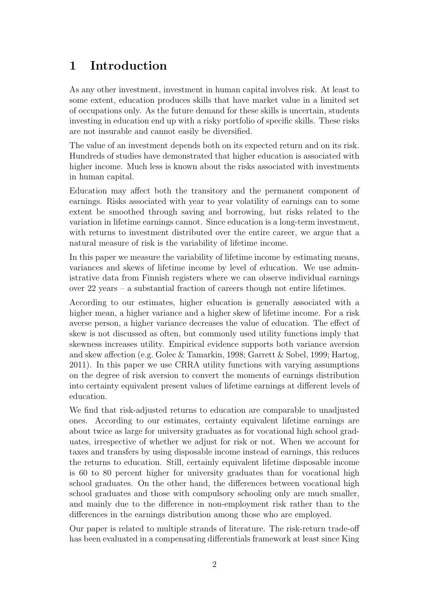# 1 Introduction

As any other investment, investment in human capital involves risk. At least to some extent, education produces skills that have market value in a limited set of occupations only. As the future demand for these skills is uncertain, students investing in education end up with a risky portfolio of specific skills. These risks are not insurable and cannot easily be diversified.

The value of an investment depends both on its expected return and on its risk. Hundreds of studies have demonstrated that higher education is associated with higher income. Much less is known about the risks associated with investments in human capital.

Education may affect both the transitory and the permanent component of earnings. Risks associated with year to year volatility of earnings can to some extent be smoothed through saving and borrowing, but risks related to the variation in lifetime earnings cannot. Since education is a long-term investment, with returns to investment distributed over the entire career, we argue that a natural measure of risk is the variability of lifetime income.

In this paper we measure the variability of lifetime income by estimating means, variances and skews of lifetime income by level of education. We use administrative data from Finnish registers where we can observe individual earnings over 22 years – a substantial fraction of careers though not entire lifetimes.

According to our estimates, higher education is generally associated with a higher mean, a higher variance and a higher skew of lifetime income. For a risk averse person, a higher variance decreases the value of education. The effect of skew is not discussed as often, but commonly used utility functions imply that skewness increases utility. Empirical evidence supports both variance aversion and skew affection (e.g. [Golec & Tamarkin,](#page-24-0) [1998;](#page-24-0) [Garrett & Sobel,](#page-24-1) [1999;](#page-24-1) [Hartog,](#page-24-2) [2011\)](#page-24-2). In this paper we use CRRA utility functions with varying assumptions on the degree of risk aversion to convert the moments of earnings distribution into certainty equivalent present values of lifetime earnings at different levels of education.

We find that risk-adjusted returns to education are comparable to unadjusted ones. According to our estimates, certainty equivalent lifetime earnings are about twice as large for university graduates as for vocational high school graduates, irrespective of whether we adjust for risk or not. When we account for taxes and transfers by using disposable income instead of earnings, this reduces the returns to education. Still, certainly equivalent lifetime disposable income is 60 to 80 percent higher for university graduates than for vocational high school graduates. On the other hand, the differences between vocational high school graduates and those with compulsory schooling only are much smaller, and mainly due to the difference in non-employment risk rather than to the differences in the earnings distribution among those who are employed.

Our paper is related to multiple strands of literature. The risk-return trade-off has been evaluated in a compensating differentials framework at least since [King](#page-24-3)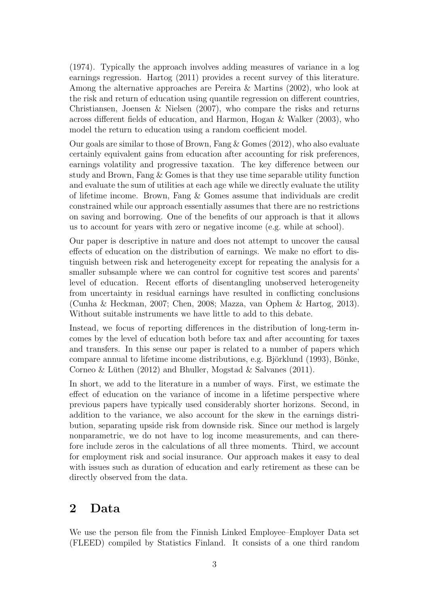[\(1974\)](#page-24-3). Typically the approach involves adding measures of variance in a log earnings regression. [Hartog](#page-24-2) [\(2011\)](#page-24-2) provides a recent survey of this literature. Among the alternative approaches are [Pereira & Martins](#page-24-4) [\(2002\)](#page-24-4), who look at the risk and return of education using quantile regression on different countries, [Christiansen, Joensen & Nielsen](#page-24-5) [\(2007\)](#page-24-5), who compare the risks and returns across different fields of education, and [Harmon, Hogan & Walker](#page-24-6) [\(2003\)](#page-24-6), who model the return to education using a random coefficient model.

Our goals are similar to those of [Brown, Fang & Gomes](#page-24-7) [\(2012\)](#page-24-7), who also evaluate certainly equivalent gains from education after accounting for risk preferences, earnings volatility and progressive taxation. The key difference between our study and [Brown, Fang & Gomes](#page-24-7) is that they use time separable utility function and evaluate the sum of utilities at each age while we directly evaluate the utility of lifetime income. [Brown, Fang & Gomes](#page-24-7) assume that individuals are credit constrained while our approach essentially assumes that there are no restrictions on saving and borrowing. One of the benefits of our approach is that it allows us to account for years with zero or negative income (e.g. while at school).

Our paper is descriptive in nature and does not attempt to uncover the causal effects of education on the distribution of earnings. We make no effort to distinguish between risk and heterogeneity except for repeating the analysis for a smaller subsample where we can control for cognitive test scores and parents' level of education. Recent efforts of disentangling unobserved heterogeneity from uncertainty in residual earnings have resulted in conflicting conclusions [\(Cunha & Heckman,](#page-24-8) [2007;](#page-24-8) [Chen,](#page-24-9) [2008;](#page-24-9) [Mazza, van Ophem & Hartog,](#page-24-10) [2013\)](#page-24-10). Without suitable instruments we have little to add to this debate.

Instead, we focus of reporting differences in the distribution of long-term incomes by the level of education both before tax and after accounting for taxes and transfers. In this sense our paper is related to a number of papers which compare annual to lifetime income distributions, e.g. Björklund [\(1993\)](#page-24-11), Bönke, Corneo & Lüthen  $(2012)$  and [Bhuller, Mogstad & Salvanes](#page-24-13)  $(2011)$ .

In short, we add to the literature in a number of ways. First, we estimate the effect of education on the variance of income in a lifetime perspective where previous papers have typically used considerably shorter horizons. Second, in addition to the variance, we also account for the skew in the earnings distribution, separating upside risk from downside risk. Since our method is largely nonparametric, we do not have to log income measurements, and can therefore include zeros in the calculations of all three moments. Third, we account for employment risk and social insurance. Our approach makes it easy to deal with issues such as duration of education and early retirement as these can be directly observed from the data.

#### 2 Data

We use the person file from the Finnish Linked Employee–Employer Data set (FLEED) compiled by Statistics Finland. It consists of a one third random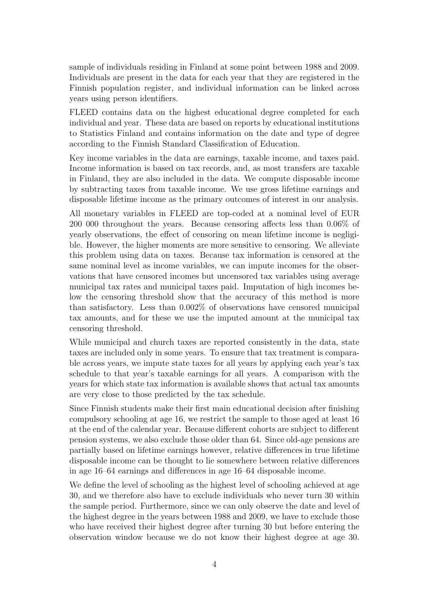sample of individuals residing in Finland at some point between 1988 and 2009. Individuals are present in the data for each year that they are registered in the Finnish population register, and individual information can be linked across years using person identifiers.

FLEED contains data on the highest educational degree completed for each individual and year. These data are based on reports by educational institutions to Statistics Finland and contains information on the date and type of degree according to the Finnish Standard Classification of Education.

Key income variables in the data are earnings, taxable income, and taxes paid. Income information is based on tax records, and, as most transfers are taxable in Finland, they are also included in the data. We compute disposable income by subtracting taxes from taxable income. We use gross lifetime earnings and disposable lifetime income as the primary outcomes of interest in our analysis.

All monetary variables in FLEED are top-coded at a nominal level of EUR 200 000 throughout the years. Because censoring affects less than 0.06% of yearly observations, the effect of censoring on mean lifetime income is negligible. However, the higher moments are more sensitive to censoring. We alleviate this problem using data on taxes. Because tax information is censored at the same nominal level as income variables, we can impute incomes for the observations that have censored incomes but uncensored tax variables using average municipal tax rates and municipal taxes paid. Imputation of high incomes below the censoring threshold show that the accuracy of this method is more than satisfactory. Less than 0.002% of observations have censored municipal tax amounts, and for these we use the imputed amount at the municipal tax censoring threshold.

While municipal and church taxes are reported consistently in the data, state taxes are included only in some years. To ensure that tax treatment is comparable across years, we impute state taxes for all years by applying each year's tax schedule to that year's taxable earnings for all years. A comparison with the years for which state tax information is available shows that actual tax amounts are very close to those predicted by the tax schedule.

Since Finnish students make their first main educational decision after finishing compulsory schooling at age 16, we restrict the sample to those aged at least 16 at the end of the calendar year. Because different cohorts are subject to different pension systems, we also exclude those older than 64. Since old-age pensions are partially based on lifetime earnings however, relative differences in true lifetime disposable income can be thought to lie somewhere between relative differences in age 16–64 earnings and differences in age 16–64 disposable income.

We define the level of schooling as the highest level of schooling achieved at age 30, and we therefore also have to exclude individuals who never turn 30 within the sample period. Furthermore, since we can only observe the date and level of the highest degree in the years between 1988 and 2009, we have to exclude those who have received their highest degree after turning 30 but before entering the observation window because we do not know their highest degree at age 30.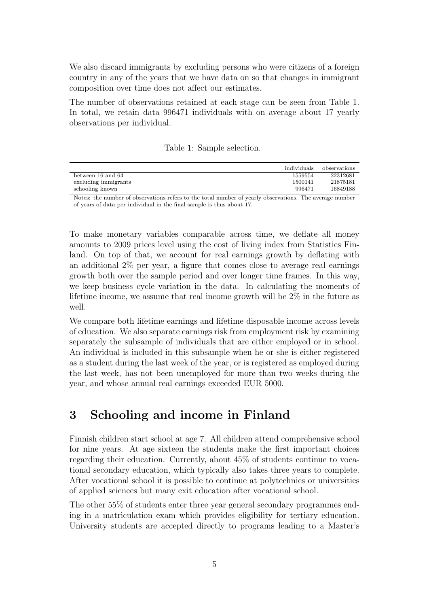We also discard immigrants by excluding persons who were citizens of a foreign country in any of the years that we have data on so that changes in immigrant composition over time does not affect our estimates.

The number of observations retained at each stage can be seen from Table [1.](#page-6-0) In total, we retain data 996471 individuals with on average about 17 yearly observations per individual.

<span id="page-6-0"></span>

|  |  |  | Table 1: Sample selection. |
|--|--|--|----------------------------|
|--|--|--|----------------------------|

|                      | individuals | observations |
|----------------------|-------------|--------------|
| between 16 and 64    | 1559554     | 22312681     |
| excluding immigrants | 1500141     | 21875181     |
| schooling known      | 996471      | 16849188     |

Notes: the number of observations refers to the total number of yearly observations. The average number of years of data per individual in the final sample is thus about 17.

To make monetary variables comparable across time, we deflate all money amounts to 2009 prices level using the cost of living index from Statistics Finland. On top of that, we account for real earnings growth by deflating with an additional 2% per year, a figure that comes close to average real earnings growth both over the sample period and over longer time frames. In this way, we keep business cycle variation in the data. In calculating the moments of lifetime income, we assume that real income growth will be 2% in the future as well.

We compare both lifetime earnings and lifetime disposable income across levels of education. We also separate earnings risk from employment risk by examining separately the subsample of individuals that are either employed or in school. An individual is included in this subsample when he or she is either registered as a student during the last week of the year, or is registered as employed during the last week, has not been unemployed for more than two weeks during the year, and whose annual real earnings exceeded EUR 5000.

## 3 Schooling and income in Finland

Finnish children start school at age 7. All children attend comprehensive school for nine years. At age sixteen the students make the first important choices regarding their education. Currently, about 45% of students continue to vocational secondary education, which typically also takes three years to complete. After vocational school it is possible to continue at polytechnics or universities of applied sciences but many exit education after vocational school.

The other 55% of students enter three year general secondary programmes ending in a matriculation exam which provides eligibility for tertiary education. University students are accepted directly to programs leading to a Master's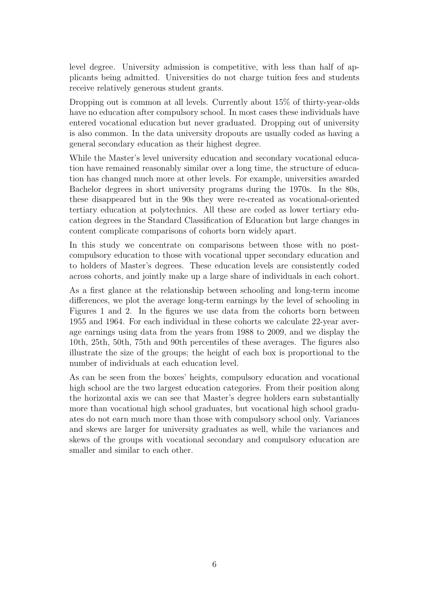level degree. University admission is competitive, with less than half of applicants being admitted. Universities do not charge tuition fees and students receive relatively generous student grants.

Dropping out is common at all levels. Currently about  $15\%$  of thirty-year-olds have no education after compulsory school. In most cases these individuals have entered vocational education but never graduated. Dropping out of university is also common. In the data university dropouts are usually coded as having a general secondary education as their highest degree.

While the Master's level university education and secondary vocational education have remained reasonably similar over a long time, the structure of education has changed much more at other levels. For example, universities awarded Bachelor degrees in short university programs during the 1970s. In the 80s, these disappeared but in the 90s they were re-created as vocational-oriented tertiary education at polytechnics. All these are coded as lower tertiary education degrees in the Standard Classification of Education but large changes in content complicate comparisons of cohorts born widely apart.

In this study we concentrate on comparisons between those with no postcompulsory education to those with vocational upper secondary education and to holders of Master's degrees. These education levels are consistently coded across cohorts, and jointly make up a large share of individuals in each cohort.

As a first glance at the relationship between schooling and long-term income differences, we plot the average long-term earnings by the level of schooling in Figures [1](#page-8-0) and [2.](#page-9-0) In the figures we use data from the cohorts born between 1955 and 1964. For each individual in these cohorts we calculate 22-year average earnings using data from the years from 1988 to 2009, and we display the 10th, 25th, 50th, 75th and 90th percentiles of these averages. The figures also illustrate the size of the groups; the height of each box is proportional to the number of individuals at each education level.

As can be seen from the boxes' heights, compulsory education and vocational high school are the two largest education categories. From their position along the horizontal axis we can see that Master's degree holders earn substantially more than vocational high school graduates, but vocational high school graduates do not earn much more than those with compulsory school only. Variances and skews are larger for university graduates as well, while the variances and skews of the groups with vocational secondary and compulsory education are smaller and similar to each other.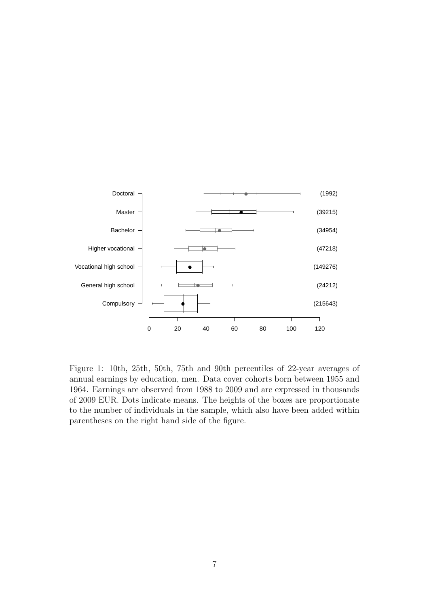

<span id="page-8-0"></span>Figure 1: 10th, 25th, 50th, 75th and 90th percentiles of 22-year averages of annual earnings by education, men. Data cover cohorts born between 1955 and 1964. Earnings are observed from 1988 to 2009 and are expressed in thousands of 2009 EUR. Dots indicate means. The heights of the boxes are proportionate to the number of individuals in the sample, which also have been added within parentheses on the right hand side of the figure.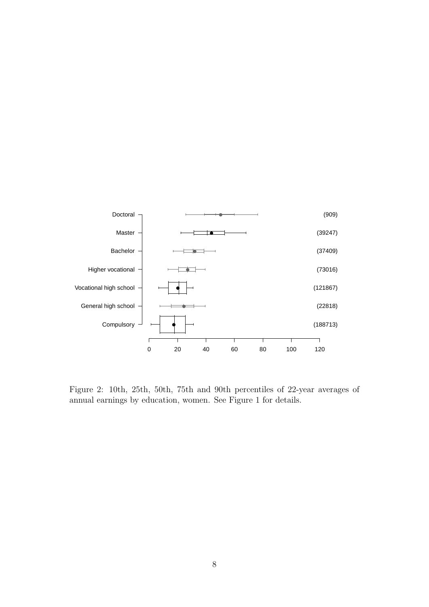

<span id="page-9-0"></span>Figure 2: 10th, 25th, 50th, 75th and 90th percentiles of 22-year averages of annual earnings by education, women. See Figure [1](#page-8-0) for details.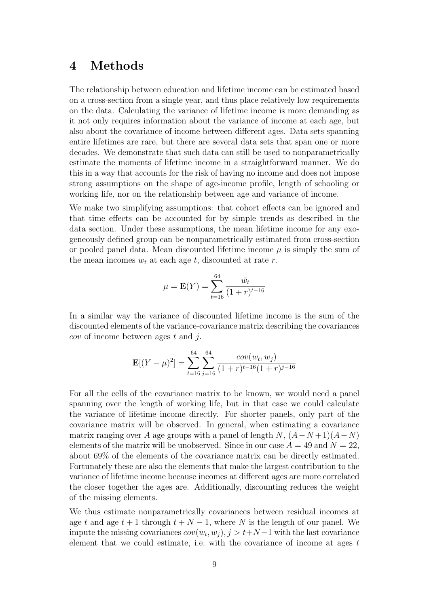#### 4 Methods

The relationship between education and lifetime income can be estimated based on a cross-section from a single year, and thus place relatively low requirements on the data. Calculating the variance of lifetime income is more demanding as it not only requires information about the variance of income at each age, but also about the covariance of income between different ages. Data sets spanning entire lifetimes are rare, but there are several data sets that span one or more decades. We demonstrate that such data can still be used to nonparametrically estimate the moments of lifetime income in a straightforward manner. We do this in a way that accounts for the risk of having no income and does not impose strong assumptions on the shape of age-income profile, length of schooling or working life, nor on the relationship between age and variance of income.

We make two simplifying assumptions: that cohort effects can be ignored and that time effects can be accounted for by simple trends as described in the data section. Under these assumptions, the mean lifetime income for any exogeneously defined group can be nonparametrically estimated from cross-section or pooled panel data. Mean discounted lifetime income  $\mu$  is simply the sum of the mean incomes  $w_t$  at each age t, discounted at rate r.

$$
\mu = \mathbf{E}(Y) = \sum_{t=16}^{64} \frac{\bar{w}_t}{(1+r)^{t-16}}
$$

In a similar way the variance of discounted lifetime income is the sum of the discounted elements of the variance-covariance matrix describing the covariances  $cov$  of income between ages t and j.

$$
\mathbf{E}[(Y-\mu)^2] = \sum_{t=16}^{64} \sum_{j=16}^{64} \frac{cov(w_t, w_j)}{(1+r)^{t-16}(1+r)^{j-16}}
$$

For all the cells of the covariance matrix to be known, we would need a panel spanning over the length of working life, but in that case we could calculate the variance of lifetime income directly. For shorter panels, only part of the covariance matrix will be observed. In general, when estimating a covariance matrix ranging over A age groups with a panel of length  $N$ ,  $(A-N+1)(A-N)$ elements of the matrix will be unobserved. Since in our case  $A = 49$  and  $N = 22$ , about 69% of the elements of the covariance matrix can be directly estimated. Fortunately these are also the elements that make the largest contribution to the variance of lifetime income because incomes at different ages are more correlated the closer together the ages are. Additionally, discounting reduces the weight of the missing elements.

We thus estimate nonparametrically covariances between residual incomes at age t and age  $t + 1$  through  $t + N - 1$ , where N is the length of our panel. We impute the missing covariances  $cov(w_t, w_j), j > t+N-1$  with the last covariance element that we could estimate, i.e. with the covariance of income at ages  $t$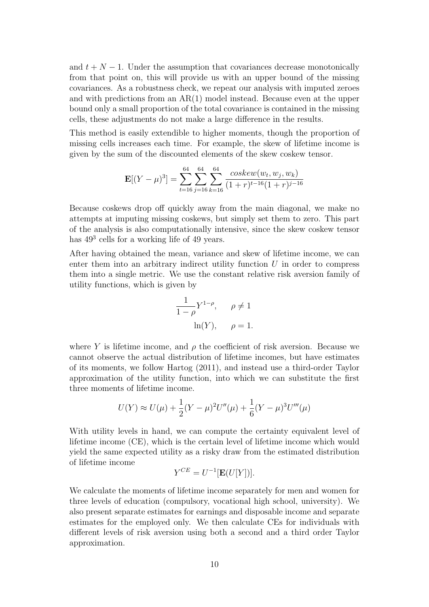and  $t + N - 1$ . Under the assumption that covariances decrease monotonically from that point on, this will provide us with an upper bound of the missing covariances. As a robustness check, we repeat our analysis with imputed zeroes and with predictions from an  $AR(1)$  model instead. Because even at the upper bound only a small proportion of the total covariance is contained in the missing cells, these adjustments do not make a large difference in the results.

This method is easily extendible to higher moments, though the proportion of missing cells increases each time. For example, the skew of lifetime income is given by the sum of the discounted elements of the skew coskew tensor.

$$
\mathbf{E}[(Y-\mu)^3] = \sum_{t=16}^{64} \sum_{j=16}^{64} \sum_{k=16}^{64} \frac{coskew(w_t, w_j, w_k)}{(1+r)^{t-16}(1+r)^{j-16}}
$$

Because coskews drop off quickly away from the main diagonal, we make no attempts at imputing missing coskews, but simply set them to zero. This part of the analysis is also computationally intensive, since the skew coskew tensor has  $49<sup>3</sup>$  cells for a working life of 49 years.

After having obtained the mean, variance and skew of lifetime income, we can enter them into an arbitrary indirect utility function  $U$  in order to compress them into a single metric. We use the constant relative risk aversion family of utility functions, which is given by

$$
\frac{1}{1-\rho} Y^{1-\rho}, \quad \rho \neq 1
$$

$$
\ln(Y), \quad \rho = 1.
$$

where Y is lifetime income, and  $\rho$  the coefficient of risk aversion. Because we cannot observe the actual distribution of lifetime incomes, but have estimates of its moments, we follow [Hartog](#page-24-2) [\(2011\)](#page-24-2), and instead use a third-order Taylor approximation of the utility function, into which we can substitute the first three moments of lifetime income.

$$
U(Y) \approx U(\mu) + \frac{1}{2}(Y - \mu)^2 U''(\mu) + \frac{1}{6}(Y - \mu)^3 U'''(\mu)
$$

With utility levels in hand, we can compute the certainty equivalent level of lifetime income (CE), which is the certain level of lifetime income which would yield the same expected utility as a risky draw from the estimated distribution of lifetime income

$$
Y^{CE} = U^{-1}[\mathbf{E}(U[Y])].
$$

We calculate the moments of lifetime income separately for men and women for three levels of education (compulsory, vocational high school, university). We also present separate estimates for earnings and disposable income and separate estimates for the employed only. We then calculate CEs for individuals with different levels of risk aversion using both a second and a third order Taylor approximation.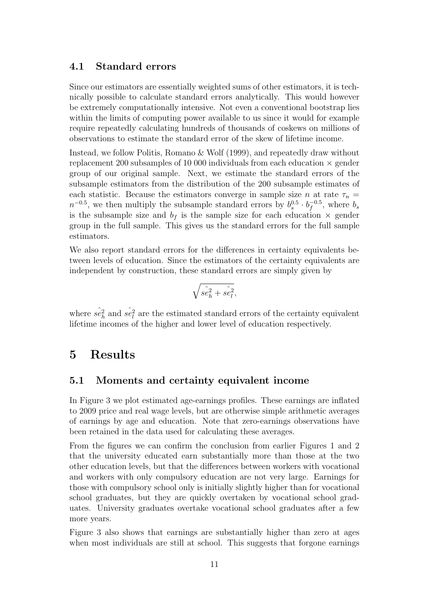#### 4.1 Standard errors

Since our estimators are essentially weighted sums of other estimators, it is technically possible to calculate standard errors analytically. This would however be extremely computationally intensive. Not even a conventional bootstrap lies within the limits of computing power available to us since it would for example require repeatedly calculating hundreds of thousands of coskews on millions of observations to estimate the standard error of the skew of lifetime income.

Instead, we follow [Politis, Romano & Wolf](#page-24-14) [\(1999\)](#page-24-14), and repeatedly draw without replacement 200 subsamples of 10 000 individuals from each education  $\times$  gender group of our original sample. Next, we estimate the standard errors of the subsample estimators from the distribution of the 200 subsample estimates of each statistic. Because the estimators converge in sample size n at rate  $\tau_n =$  $n^{-0.5}$ , we then multiply the subsample standard errors by  $b_s^{0.5} \cdot b_f^{-0.5}$  $b_g^{-0.5}$ , where  $b_s$ is the subsample size and  $b_f$  is the sample size for each education  $\times$  gender group in the full sample. This gives us the standard errors for the full sample estimators.

We also report standard errors for the differences in certainty equivalents between levels of education. Since the estimators of the certainty equivalents are independent by construction, these standard errors are simply given by

$$
\sqrt{\hat{se}_h^2 + \hat{se}_l^2},
$$

where  $\hat{se}_h^2$  and  $\hat{se}_l^2$  are the estimated standard errors of the certainty equivalent lifetime incomes of the higher and lower level of education respectively.

### 5 Results

#### 5.1 Moments and certainty equivalent income

In Figure [3](#page-14-0) we plot estimated age-earnings profiles. These earnings are inflated to 2009 price and real wage levels, but are otherwise simple arithmetic averages of earnings by age and education. Note that zero-earnings observations have been retained in the data used for calculating these averages.

From the figures we can confirm the conclusion from earlier Figures [1](#page-8-0) and [2](#page-9-0) that the university educated earn substantially more than those at the two other education levels, but that the differences between workers with vocational and workers with only compulsory education are not very large. Earnings for those with compulsory school only is initially slightly higher than for vocational school graduates, but they are quickly overtaken by vocational school graduates. University graduates overtake vocational school graduates after a few more years.

Figure [3](#page-14-0) also shows that earnings are substantially higher than zero at ages when most individuals are still at school. This suggests that forgone earnings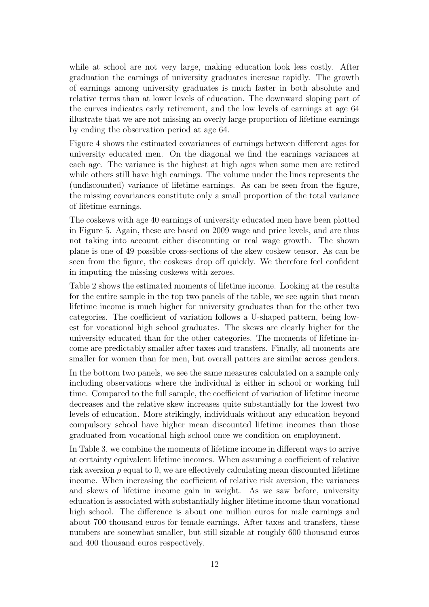while at school are not very large, making education look less costly. After graduation the earnings of university graduates incresae rapidly. The growth of earnings among university graduates is much faster in both absolute and relative terms than at lower levels of education. The downward sloping part of the curves indicates early retirement, and the low levels of earnings at age 64 illustrate that we are not missing an overly large proportion of lifetime earnings by ending the observation period at age 64.

Figure [4](#page-15-0) shows the estimated covariances of earnings between different ages for university educated men. On the diagonal we find the earnings variances at each age. The variance is the highest at high ages when some men are retired while others still have high earnings. The volume under the lines represents the (undiscounted) variance of lifetime earnings. As can be seen from the figure, the missing covariances constitute only a small proportion of the total variance of lifetime earnings.

The coskews with age 40 earnings of university educated men have been plotted in Figure [5.](#page-16-0) Again, these are based on 2009 wage and price levels, and are thus not taking into account either discounting or real wage growth. The shown plane is one of 49 possible cross-sections of the skew coskew tensor. As can be seen from the figure, the coskews drop off quickly. We therefore feel confident in imputing the missing coskews with zeroes.

Table [2](#page-18-0) shows the estimated moments of lifetime income. Looking at the results for the entire sample in the top two panels of the table, we see again that mean lifetime income is much higher for university graduates than for the other two categories. The coefficient of variation follows a U-shaped pattern, being lowest for vocational high school graduates. The skews are clearly higher for the university educated than for the other categories. The moments of lifetime income are predictably smaller after taxes and transfers. Finally, all moments are smaller for women than for men, but overall patters are similar across genders.

In the bottom two panels, we see the same measures calculated on a sample only including observations where the individual is either in school or working full time. Compared to the full sample, the coefficient of variation of lifetime income decreases and the relative skew increases quite substantially for the lowest two levels of education. More strikingly, individuals without any education beyond compulsory school have higher mean discounted lifetime incomes than those graduated from vocational high school once we condition on employment.

In Table [3,](#page-19-0) we combine the moments of lifetime income in different ways to arrive at certainty equivalent lifetime incomes. When assuming a coefficient of relative risk aversion  $\rho$  equal to 0, we are effectively calculating mean discounted lifetime income. When increasing the coefficient of relative risk aversion, the variances and skews of lifetime income gain in weight. As we saw before, university education is associated with substantially higher lifetime income than vocational high school. The difference is about one million euros for male earnings and about 700 thousand euros for female earnings. After taxes and transfers, these numbers are somewhat smaller, but still sizable at roughly 600 thousand euros and 400 thousand euros respectively.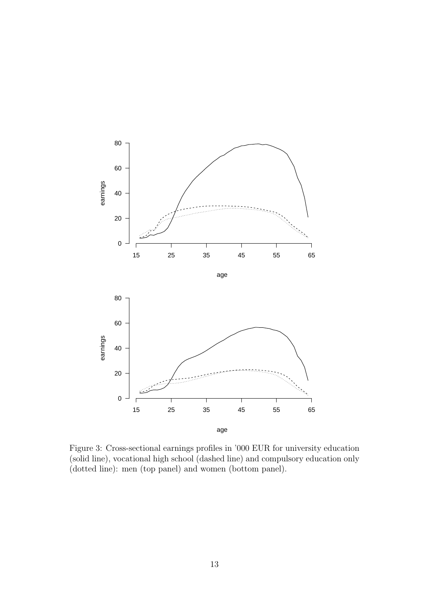

<span id="page-14-0"></span>Figure 3: Cross-sectional earnings profiles in '000 EUR for university education (solid line), vocational high school (dashed line) and compulsory education only (dotted line): men (top panel) and women (bottom panel).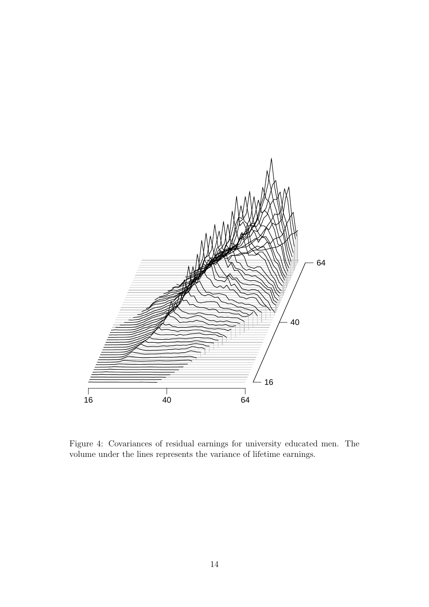

<span id="page-15-0"></span>Figure 4: Covariances of residual earnings for university educated men. The volume under the lines represents the variance of lifetime earnings.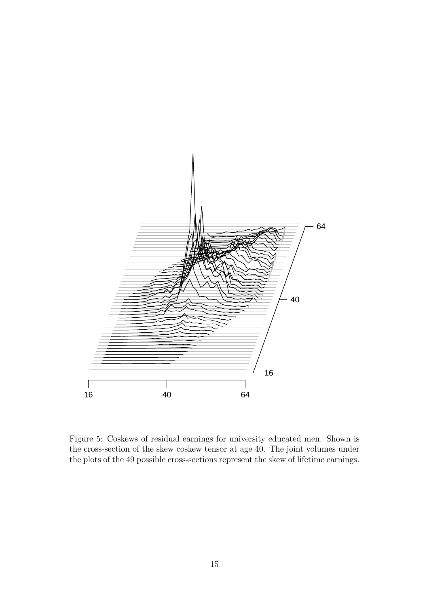

<span id="page-16-0"></span>Figure 5: Coskews of residual earnings for university educated men. Shown is the cross-section of the skew coskew tensor at age 40. The joint volumes under the plots of the 49 possible cross-sections represent the skew of lifetime earnings.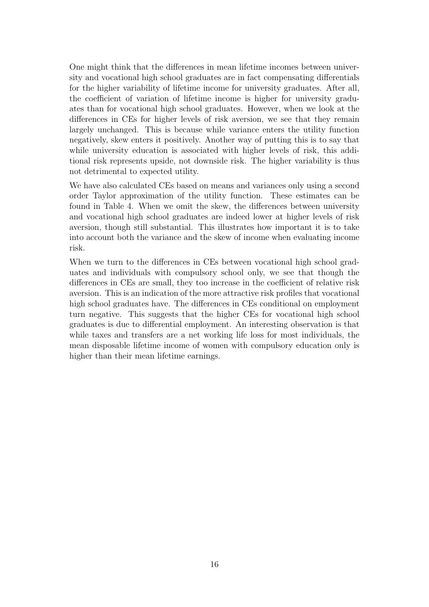One might think that the differences in mean lifetime incomes between university and vocational high school graduates are in fact compensating differentials for the higher variability of lifetime income for university graduates. After all, the coefficient of variation of lifetime income is higher for university graduates than for vocational high school graduates. However, when we look at the differences in CEs for higher levels of risk aversion, we see that they remain largely unchanged. This is because while variance enters the utility function negatively, skew enters it positively. Another way of putting this is to say that while university education is associated with higher levels of risk, this additional risk represents upside, not downside risk. The higher variability is thus not detrimental to expected utility.

We have also calculated CEs based on means and variances only using a second order Taylor approximation of the utility function. These estimates can be found in Table [4.](#page-20-0) When we omit the skew, the differences between university and vocational high school graduates are indeed lower at higher levels of risk aversion, though still substantial. This illustrates how important it is to take into account both the variance and the skew of income when evaluating income risk.

When we turn to the differences in CEs between vocational high school graduates and individuals with compulsory school only, we see that though the differences in CEs are small, they too increase in the coefficient of relative risk aversion. This is an indication of the more attractive risk profiles that vocational high school graduates have. The differences in CEs conditional on employment turn negative. This suggests that the higher CEs for vocational high school graduates is due to differential employment. An interesting observation is that while taxes and transfers are a net working life loss for most individuals, the mean disposable lifetime income of women with compulsory education only is higher than their mean lifetime earnings.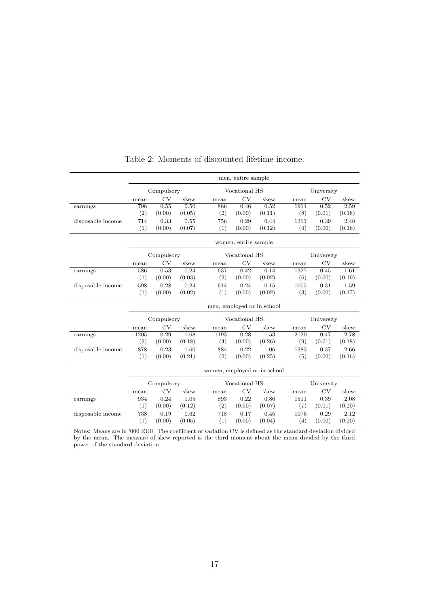|                   | men, entire sample |            |        |                              |                      |                            |      |            |        |  |
|-------------------|--------------------|------------|--------|------------------------------|----------------------|----------------------------|------|------------|--------|--|
|                   | Compulsory         |            |        |                              | Vocational HS        |                            |      | University |        |  |
|                   | mean               | <b>CV</b>  | skew   | mean                         | CV                   | skew                       | mean | <b>CV</b>  | skew   |  |
| earnings          | 798                | 0.55       | 0.50   | 886                          | 0.46                 | 0.52                       | 1914 | 0.52       | 2.59   |  |
|                   | (2)                | (0.00)     | (0.05) | (2)                          | (0.00)               | (0.11)                     | (8)  | (0.01)     | (0.18) |  |
| disposable income | 714                | 0.33       | 0.55   | 756                          | 0.29                 | 0.44                       | 1311 | 0.39       | 2.48   |  |
|                   | (1)                | (0.00)     | (0.07) | (1)                          | (0.00)               | (0.12)                     | (4)  | (0.00)     | (0.16) |  |
|                   |                    |            |        |                              | women, entire sample |                            |      |            |        |  |
|                   |                    | Compulsory |        |                              | Vocational HS        |                            |      | University |        |  |
|                   | mean               | CV         | skew   | mean                         | <b>CV</b>            | skew                       | mean | CV         | skew   |  |
| earnings          | 586                | 0.53       | 0.24   | 637                          | 0.42                 | 0.14                       | 1327 | 0.45       | 1.61   |  |
|                   | (1)                | (0.00)     | (0.03) | (2)                          | (0.00)               | (0.02)                     | (6)  | (0.00)     | (0.19) |  |
| disposable income | 598                | 0.28       | 0.24   | 614                          | 0.24                 | 0.15                       | 1005 | 0.31       | 1.59   |  |
|                   | (1)                | (0.00)     | (0.02) | (1)                          | (0.00)               | (0.02)                     | (3)  | (0.00)     | (0.17) |  |
|                   |                    |            |        |                              |                      | men, employed or in school |      |            |        |  |
|                   |                    | Compulsory |        |                              | Vocational HS        |                            |      | University |        |  |
|                   | mean               | CV         | skew   | mean                         | CV                   | skew                       | mean | CV         | skew   |  |
| earnings          | 1205               | 0.29       | 1.68   | 1193                         | 0.28                 | 1.53                       | 2120 | 0.47       | 2.78   |  |
|                   | (2)                | (0.00)     | (0.18) | (4)                          | (0.00)               | (0.26)                     | (9)  | (0.01)     | (0.18) |  |
| disposable income | 878                | 0.23       | 1.60   | 884                          | 0.22                 | 1.06                       | 1383 | 0.37       | 2.66   |  |
|                   | (1)                | (0.00)     | (0.21) | (2)                          | (0.00)               | (0.25)                     | (5)  | (0.00)     | (0.16) |  |
|                   |                    |            |        | women, employed or in school |                      |                            |      |            |        |  |
|                   | Compulsory         |            |        |                              | Vocational HS        |                            |      | University |        |  |
|                   | mean               | CV         | skew   | mean                         | CV                   | skew                       | mean | CV         | skew   |  |
| earnings          | 934                | 0.24       | 1.05   | 893                          | 0.22                 | 0.86                       | 1511 | 0.39       | 2.08   |  |
|                   | (1)                | (0.00)     | (0.12) | (2)                          | (0.00)               | (0.07)                     | (7)  | (0.01)     | (0.20) |  |
| disposable income | 738                | 0.19       | 0.62   | 718                          | 0.17                 | 0.45                       | 1076 | 0.29       | 2.12   |  |
|                   | (1)                | (0.00)     | (0.05) | (1)                          | (0.00)               | (0.04)                     | (4)  | (0.00)     | (0.20) |  |

#### <span id="page-18-0"></span>Table 2: Moments of discounted lifetime income.

Notes: Means are in '000 EUR. The coefficient of variation CV is defined as the standard deviation divided by the mean. The measure of skew reported is the third moment about the mean divided by the third power of the standard deviation.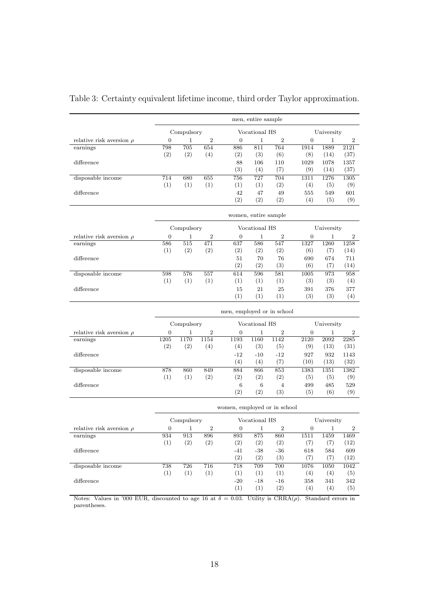|                                                                                          | men, entire sample |            |                  |                              |                      |                  |                  |                    |              |  |
|------------------------------------------------------------------------------------------|--------------------|------------|------------------|------------------------------|----------------------|------------------|------------------|--------------------|--------------|--|
|                                                                                          | Compulsory         |            |                  |                              | Vocational HS        |                  |                  | University         |              |  |
| relative risk aversion $\rho$                                                            | 0                  | 1          | $\boldsymbol{2}$ | $\boldsymbol{0}$             | $\mathbf 1$          | $\boldsymbol{2}$ | $\boldsymbol{0}$ | 1                  | 2            |  |
| earnings                                                                                 | 798                | 705        | 654              | 886                          | 811                  | 764              | 1914             | 1889               | 2121         |  |
|                                                                                          | (2)                | (2)        | (4)              | (2)                          | (3)                  | (6)              | (8)              | (14)               | (37)         |  |
| difference                                                                               |                    |            |                  | 88<br>(3)                    | 106<br>(4)           | 110<br>(7)       | 1029<br>(9)      | 1078<br>(14)       | 1357<br>(37) |  |
| disposable income                                                                        | 714                | 680        | 655              | 756                          | 727                  | 704              | 1311             | 1276               | 1305         |  |
|                                                                                          | (1)                | (1)        | (1)              | (1)                          | (1)                  | (2)              | (4)              | (5)                | (9)          |  |
| difference                                                                               |                    |            |                  | 42                           | 47                   | 49               | 555              | 549                | 601          |  |
|                                                                                          |                    |            |                  | (2)                          | (2)                  | (2)              | (4)              | (5)                | (9)          |  |
|                                                                                          |                    |            |                  |                              | women, entire sample |                  |                  |                    |              |  |
|                                                                                          |                    | Compulsory |                  |                              | Vocational HS        |                  |                  | University         |              |  |
| relative risk aversion $\rho$                                                            | $\boldsymbol{0}$   | 1          | $\boldsymbol{2}$ | $\boldsymbol{0}$             | 1                    | 2                | $\boldsymbol{0}$ | 1                  | 2            |  |
| earnings                                                                                 | 586                | 515        | 471              | 637                          | 586                  | 547              | 1327             | 1260               | 1258         |  |
|                                                                                          | (1)                | (2)        | (2)              | (2)                          | (2)                  | (2)              | (6)              | (7)                | (14)         |  |
| difference                                                                               |                    |            |                  | 51<br>(2)                    | 70<br>(2)            | 76<br>(3)        | 690              | 674                | 711          |  |
| disposable income                                                                        | 598                | 576        | 557              | 614                          | 596                  | 581              | (6)<br>1005      | (7)<br>973         | (14)<br>958  |  |
|                                                                                          | (1)                | (1)        | (1)              | (1)                          | (1)                  | (1)              | (3)              | (3)                | (4)          |  |
| difference                                                                               |                    |            |                  | 15                           | 21                   | 25               | 391              | 376                | 377          |  |
|                                                                                          |                    |            |                  | (1)                          | (1)                  | (1)              | (3)              | (3)                | (4)          |  |
|                                                                                          |                    |            |                  | men, employed or in school   |                      |                  |                  |                    |              |  |
|                                                                                          |                    | Compulsory |                  | Vocational HS                |                      |                  |                  | University         |              |  |
| relative risk aversion $\rho$                                                            | 0                  | 1          | $\boldsymbol{2}$ | 0                            | $\mathbf{1}$         | $\boldsymbol{2}$ | 0                | 1                  | 2            |  |
| earnings                                                                                 | 1205               | 1170       | 1154             | 1193                         | 1160                 | 1142             | 2120             | 2092               | 2285         |  |
|                                                                                          | (2)                | (2)        | (4)              | (4)                          | (3)                  | (5)              | (9)              | (13)               | (31)         |  |
| difference                                                                               |                    |            |                  | -12<br>(4)                   | $-10$<br>(4)         | -12<br>(7)       | 927<br>(10)      | 932<br>(13)        | 1143<br>(32) |  |
| disposable income                                                                        | 878                | 860        | 849              | 884                          | 866                  | 853              | 1383             | 1351               | 1382         |  |
|                                                                                          | (1)                | (1)        | (2)              | (2)                          | (2)                  | (2)              | (5)              | (5)                | (9)          |  |
| difference                                                                               |                    |            |                  | 6                            | 6                    | 4                | 499              | 485                | 529          |  |
|                                                                                          |                    |            |                  | (2)                          | (2)                  | (3)              | (5)              | (6)                | (9)          |  |
|                                                                                          |                    |            |                  | women, employed or in school |                      |                  |                  |                    |              |  |
|                                                                                          |                    | Compulsory |                  |                              | Vocational HS        |                  |                  | University         |              |  |
| relative risk aversion $\rho$                                                            | 0                  | 1          | $\boldsymbol{2}$ | 0                            | 1                    | 2                | 0                | 1                  | 2            |  |
| earnings                                                                                 | 934                | 913        | 896              | 893                          | 875                  | 860              | 1511             | 1459               | 1469         |  |
|                                                                                          | (1)                | (2)        | (2)              | (2)                          | (2)                  | (2)              | (7)              | (7)                | (12)         |  |
| difference                                                                               |                    |            |                  | $-41$<br>(2)                 | $-38$<br>(2)         | $-36$<br>(3)     | 618<br>(7)       | 584<br>(7)         | 609<br>(12)  |  |
| disposable income                                                                        | 738                | 726        | 716              | 718                          | 709                  | 700              | 1076             | 1050               | 1042         |  |
|                                                                                          | (1)                | (1)        | (1)              | (1)                          | (1)                  | (1)              | (4)              | (4)                | (5)          |  |
| difference                                                                               |                    |            |                  | $-20$                        | $-18$                | $-16$            | 358              | 341                | 342          |  |
|                                                                                          |                    |            |                  | (1)                          | (1)                  | (2)              | (4)              | (4)                | (5)          |  |
| Notes: Values in '000 EUR, discounted to age 16 at $\delta = 0.03$ . Utility is CRRA(a). |                    |            |                  |                              |                      |                  |                  | Standard errors in |              |  |

<span id="page-19-0"></span>

|  |  |  |  | Table 3: Certainty equivalent lifetime income, third order Taylor approximation. |  |
|--|--|--|--|----------------------------------------------------------------------------------|--|
|  |  |  |  |                                                                                  |  |

 $\lambda$  '000 EUR, discounted to age 16 at  $\delta = 0.03$ . Utility is CRRA( $\rho$ ). Standard er parentheses.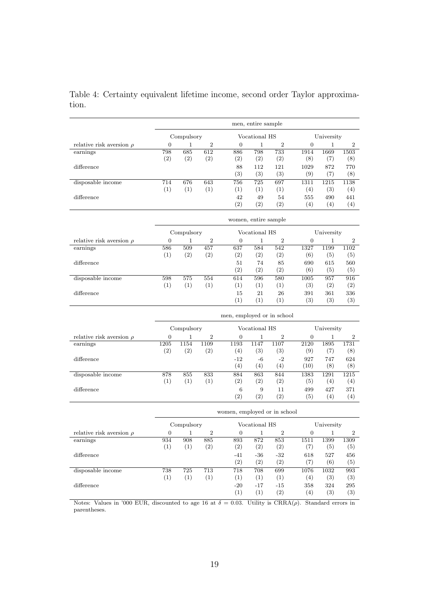|                               | men, entire sample           |            |                  |                            |                      |                  |                   |            |                  |  |
|-------------------------------|------------------------------|------------|------------------|----------------------------|----------------------|------------------|-------------------|------------|------------------|--|
|                               | Compulsory                   |            |                  |                            | Vocational HS        |                  |                   | University |                  |  |
| relative risk aversion $\rho$ | 0                            | 1          | $\boldsymbol{2}$ | $\boldsymbol{0}$           | $\mathbf 1$          | $\overline{2}$   | $\boldsymbol{0}$  | 1          | $\overline{2}$   |  |
| earnings                      | 798                          | 685        | 612              | 886                        | 798                  | 733              | 1914              | 1669       | 1503             |  |
|                               | (2)                          | (2)        | (2)              | (2)                        | (2)                  | (2)              | (8)               | (7)        | (8)              |  |
| difference                    |                              |            |                  | 88                         | 112                  | 121              | 1029              | 872        | 770              |  |
|                               |                              |            |                  | (3)                        | (3)                  | (3)              | (9)               | (7)        | (8)              |  |
| disposable income             | 714                          | 676        | 643              | 756                        | 725                  | 697              | 1311              | 1215       | 1138             |  |
|                               | (1)                          | (1)        | (1)              | (1)                        | (1)                  | (1)              | (4)               | (3)        | (4)              |  |
| difference                    |                              |            |                  | 42                         | 49                   | 54               | 555               | 490        | 441              |  |
|                               |                              |            |                  | (2)                        | (2)                  | (2)              | (4)               | (4)        | (4)              |  |
|                               |                              |            |                  |                            | women, entire sample |                  |                   |            |                  |  |
|                               |                              | Compulsory |                  |                            | Vocational HS        |                  |                   | University |                  |  |
| relative risk aversion $\rho$ | 0                            | 1          | $\,2$            | 0                          | 1                    | $\boldsymbol{2}$ | $\boldsymbol{0}$  | 1          | $\boldsymbol{2}$ |  |
| earnings                      | 586                          | 509        | 457              | 637                        | 584                  | 542              | 1327              | 1199       | 1102             |  |
|                               | (1)                          | (2)        | (2)              | (2)                        | (2)                  | (2)              | (6)               | (5)        | (5)              |  |
| difference                    |                              |            |                  | 51                         | 74                   | 85               | 690               | 615        | 560              |  |
|                               |                              |            |                  | (2)                        | (2)                  | (2)              | (6)               | (5)        | (5)              |  |
| disposable income             | 598                          | 575        | 554              | 614                        | 596                  | 580              | 1005              | 957        | 916              |  |
|                               | (1)                          | (1)        | (1)              | (1)                        | (1)                  | (1)              | (3)               | (2)        | (2)              |  |
| difference                    |                              |            |                  | 15                         | 21                   | 26               | 391               | 361        | 336              |  |
|                               |                              |            |                  | (1)                        | (1)                  | (1)              | (3)               | (3)        | (3)              |  |
|                               |                              |            |                  | men, employed or in school |                      |                  |                   |            |                  |  |
|                               |                              | Compulsory |                  |                            | Vocational HS        |                  | University        |            |                  |  |
| relative risk aversion $\rho$ | 0                            | 1          | $\boldsymbol{2}$ | 0                          | 1                    | $\boldsymbol{2}$ | $\mathbf{0}$<br>1 |            | 2                |  |
| earnings                      | 1205                         | 1154       | 1109             | 1193                       | 1147                 | 1107             | 2120              | 1895       | 1731             |  |
|                               | (2)                          | (2)        | (2)              | (4)                        | (3)                  | (3)              | (9)               | (7)        | (8)              |  |
| difference                    |                              |            |                  | $-12$                      | $-6$                 | $-2$             | 927               | 747        | 624              |  |
|                               |                              |            |                  | (4)                        | (4)                  | (4)              | (10)              | (8)        | (8)              |  |
| disposable income             | 878                          | 855        | 833              | 884                        | 863                  | 844              | 1383              | 1291       | 1215             |  |
|                               | (1)                          | (1)        | (1)              | (2)                        | (2)                  | (2)              | (5)               | (4)        | (4)              |  |
| difference                    |                              |            |                  | 6                          | 9                    | 11               | 499               | 427        | 371              |  |
|                               |                              |            |                  | (2)                        | (2)                  | (2)              | (5)               | (4)        | (4)              |  |
|                               | women, employed or in school |            |                  |                            |                      |                  |                   |            |                  |  |
|                               | Compulsory                   |            |                  | Vocational HS              |                      |                  | University        |            |                  |  |
| relative risk aversion $\rho$ | 0                            | 1          | 2                | 0                          | 1                    | $\boldsymbol{2}$ | $\mathbf{0}$      | 1          | $\boldsymbol{2}$ |  |
| earnings                      | 934                          | 908        | 885              | 893                        | 872                  | 853              | 1511              | 1399       | 1309             |  |
|                               | (1)                          | (1)        | (2)              | (2)                        | (2)                  | (2)              | (7)               | (5)        | (5)              |  |
| difference                    |                              |            |                  | -41                        | $-36$                | $\mbox{-}32$     | 618               | 527        | $456\,$          |  |
|                               |                              |            |                  | (2)                        | (2)                  | (2)              | (7)               | (6)        | (5)              |  |
| disposable income             | 738                          | 725        | 713              | 718                        | 708                  | 699              | 1076              | 1032       | 993              |  |
| difference                    | (1)                          | (1)        | (1)              | (1)                        | (1)                  | (1)              | (4)               | (3)        | (3)              |  |
|                               |                              |            |                  | $-20$                      | $-17$                | $-15$            | 358               | 324        | $\bf 295$        |  |
|                               |                              |            |                  | (1)                        | (1)                  | (2)              | (4)               | (3)        | (3)              |  |

<span id="page-20-0"></span>Table 4: Certainty equivalent lifetime income, second order Taylor approximation.

Notes: Values in '000 EUR, discounted to age 16 at  $\delta = 0.03$ . Utility is CRRA( $\rho$ ). Standard errors in parentheses.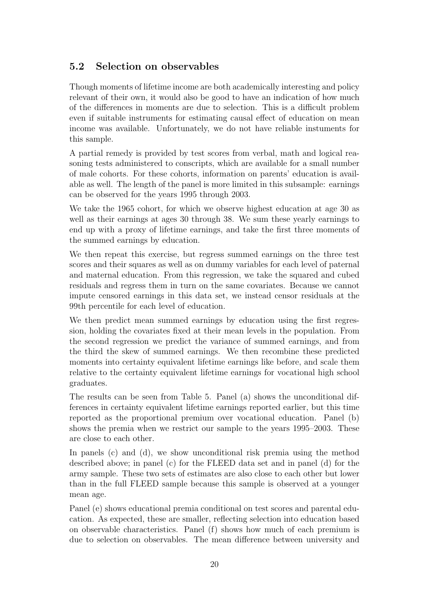#### 5.2 Selection on observables

Though moments of lifetime income are both academically interesting and policy relevant of their own, it would also be good to have an indication of how much of the differences in moments are due to selection. This is a difficult problem even if suitable instruments for estimating causal effect of education on mean income was available. Unfortunately, we do not have reliable instuments for this sample.

A partial remedy is provided by test scores from verbal, math and logical reasoning tests administered to conscripts, which are available for a small number of male cohorts. For these cohorts, information on parents' education is available as well. The length of the panel is more limited in this subsample: earnings can be observed for the years 1995 through 2003.

We take the 1965 cohort, for which we observe highest education at age 30 as well as their earnings at ages 30 through 38. We sum these yearly earnings to end up with a proxy of lifetime earnings, and take the first three moments of the summed earnings by education.

We then repeat this exercise, but regress summed earnings on the three test scores and their squares as well as on dummy variables for each level of paternal and maternal education. From this regression, we take the squared and cubed residuals and regress them in turn on the same covariates. Because we cannot impute censored earnings in this data set, we instead censor residuals at the 99th percentile for each level of education.

We then predict mean summed earnings by education using the first regression, holding the covariates fixed at their mean levels in the population. From the second regression we predict the variance of summed earnings, and from the third the skew of summed earnings. We then recombine these predicted moments into certainty equivalent lifetime earnings like before, and scale them relative to the certainty equivalent lifetime earnings for vocational high school graduates.

The results can be seen from Table [5.](#page-22-0) Panel (a) shows the unconditional differences in certainty equivalent lifetime earnings reported earlier, but this time reported as the proportional premium over vocational education. Panel (b) shows the premia when we restrict our sample to the years 1995–2003. These are close to each other.

In panels (c) and (d), we show unconditional risk premia using the method described above; in panel (c) for the FLEED data set and in panel (d) for the army sample. These two sets of estimates are also close to each other but lower than in the full FLEED sample because this sample is observed at a younger mean age.

Panel (e) shows educational premia conditional on test scores and parental education. As expected, these are smaller, reflecting selection into education based on observable characteristics. Panel (f) shows how much of each premium is due to selection on observables. The mean difference between university and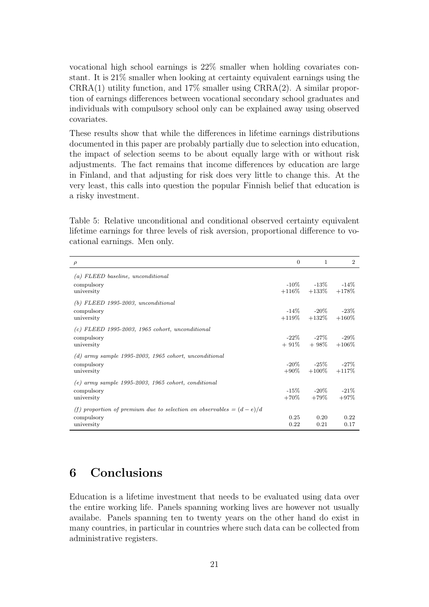vocational high school earnings is 22% smaller when holding covariates constant. It is 21% smaller when looking at certainty equivalent earnings using the  $CRRA(1)$  utility function, and  $17\%$  smaller using  $CRRA(2)$ . A similar proportion of earnings differences between vocational secondary school graduates and individuals with compulsory school only can be explained away using observed covariates.

These results show that while the differences in lifetime earnings distributions documented in this paper are probably partially due to selection into education, the impact of selection seems to be about equally large with or without risk adjustments. The fact remains that income differences by education are large in Finland, and that adjusting for risk does very little to change this. At the very least, this calls into question the popular Finnish belief that education is a risky investment.

<span id="page-22-0"></span>Table 5: Relative unconditional and conditional observed certainty equivalent lifetime earnings for three levels of risk aversion, proportional difference to vocational earnings. Men only.

| $\rho$                                                                | $\Omega$ | $\mathbf{1}$               | $\mathcal{D}_{\mathcal{L}}$ |
|-----------------------------------------------------------------------|----------|----------------------------|-----------------------------|
| $(a)$ FLEED baseline, unconditional                                   |          |                            |                             |
| compulsory                                                            |          | $-10\%$ $-13\%$ $-14\%$    |                             |
| university                                                            |          | $+116\%$ $+133\%$ $+178\%$ |                             |
| $(b)$ FLEED 1995-2003, unconditional                                  |          |                            |                             |
| compulsory                                                            |          | $-14\%$ $-20\%$ $-23\%$    |                             |
| university                                                            |          | $+119\% +132\% +160\%$     |                             |
| $(c)$ FLEED 1995-2003, 1965 cohort, unconditional                     |          |                            |                             |
| compulsory                                                            |          | $-22\%$ $-27\%$ $-29\%$    |                             |
| university                                                            |          | $+91\% + 98\% + 106\%$     |                             |
| $(d)$ army sample 1995-2003, 1965 cohort, unconditional               |          |                            |                             |
| compulsory                                                            |          | $-20\%$ $-25\%$ $-27\%$    |                             |
| university                                                            |          | $+90\% +100\% +117\%$      |                             |
| $(e)$ army sample 1995-2003, 1965 cohort, conditional                 |          |                            |                             |
| compulsory                                                            |          | $-15\%$ $-20\%$ $-21\%$    |                             |
| university                                                            |          | $+70\%$ $+79\%$            | $+97%$                      |
| (f) proportion of premium due to selection on observables $= (d-e)/d$ |          |                            |                             |
| compulsory                                                            | 0.25     | 0.20                       | 0.22                        |
| university                                                            | 0.22     | 0.21                       | 0.17                        |

## 6 Conclusions

Education is a lifetime investment that needs to be evaluated using data over the entire working life. Panels spanning working lives are however not usually availabe. Panels spanning ten to twenty years on the other hand do exist in many countries, in particular in countries where such data can be collected from administrative registers.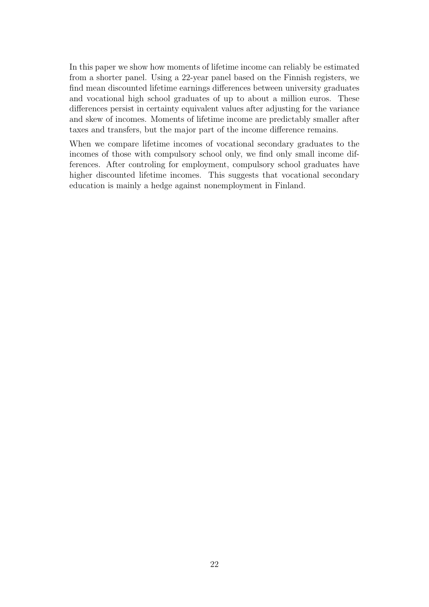In this paper we show how moments of lifetime income can reliably be estimated from a shorter panel. Using a 22-year panel based on the Finnish registers, we find mean discounted lifetime earnings differences between university graduates and vocational high school graduates of up to about a million euros. These differences persist in certainty equivalent values after adjusting for the variance and skew of incomes. Moments of lifetime income are predictably smaller after taxes and transfers, but the major part of the income difference remains.

When we compare lifetime incomes of vocational secondary graduates to the incomes of those with compulsory school only, we find only small income differences. After controling for employment, compulsory school graduates have higher discounted lifetime incomes. This suggests that vocational secondary education is mainly a hedge against nonemployment in Finland.